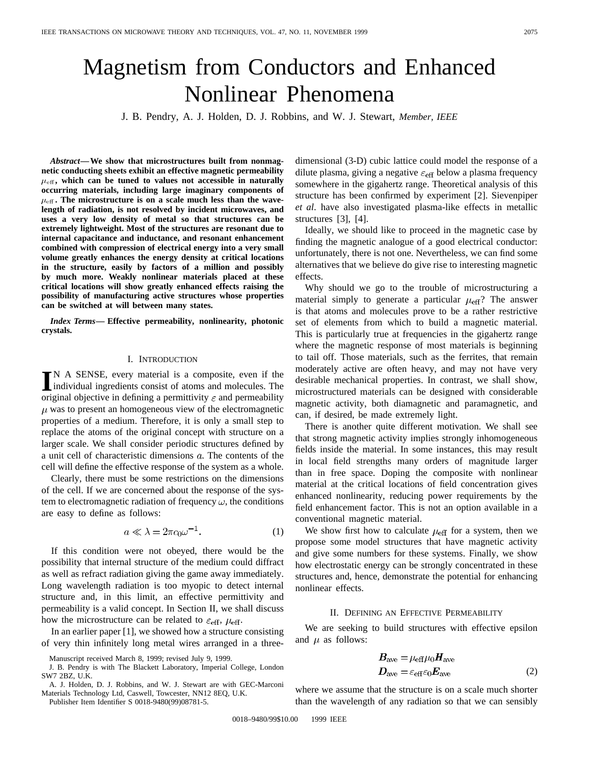# Magnetism from Conductors and Enhanced Nonlinear Phenomena

J. B. Pendry, A. J. Holden, D. J. Robbins, and W. J. Stewart, *Member, IEEE*

*Abstract—***We show that microstructures built from nonmagnetic conducting sheets exhibit an effective magnetic permeability**  $\mu_{\text{eff}}$ , which can be tuned to values not accessible in naturally **occurring materials, including large imaginary components of**  $\mu_{\text{eff}}$ . The microstructure is on a scale much less than the wave**length of radiation, is not resolved by incident microwaves, and uses a very low density of metal so that structures can be extremely lightweight. Most of the structures are resonant due to internal capacitance and inductance, and resonant enhancement combined with compression of electrical energy into a very small volume greatly enhances the energy density at critical locations in the structure, easily by factors of a million and possibly by much more. Weakly nonlinear materials placed at these critical locations will show greatly enhanced effects raising the possibility of manufacturing active structures whose properties can be switched at will between many states.**

*Index Terms—* **Effective permeability, nonlinearity, photonic crystals.**

#### I. INTRODUCTION

IN A SENSE, every material is a composite, even if the individual ingredients consist of atoms and molecules. The existing leads to the existence of the second numericity of  $\mathcal{L}$ N A SENSE, every material is a composite, even if the original objective in defining a permittivity  $\varepsilon$  and permeability  $\mu$  was to present an homogeneous view of the electromagnetic properties of a medium. Therefore, it is only a small step to replace the atoms of the original concept with structure on a larger scale. We shall consider periodic structures defined by a unit cell of characteristic dimensions  $a$ . The contents of the cell will define the effective response of the system as a whole.

Clearly, there must be some restrictions on the dimensions of the cell. If we are concerned about the response of the system to electromagnetic radiation of frequency  $\omega$ , the conditions are easy to define as follows:

$$
a \ll \lambda = 2\pi c_0 \omega^{-1}.
$$
 (1)

If this condition were not obeyed, there would be the possibility that internal structure of the medium could diffract as well as refract radiation giving the game away immediately. Long wavelength radiation is too myopic to detect internal structure and, in this limit, an effective permittivity and permeability is a valid concept. In Section II, we shall discuss how the microstructure can be related to  $\varepsilon_{\text{eff}}$ ,  $\mu_{\text{eff}}$ .

In an earlier paper [1], we showed how a structure consisting of very thin infinitely long metal wires arranged in a three-

A. J. Holden, D. J. Robbins, and W. J. Stewart are with GEC-Marconi Materials Technology Ltd, Caswell, Towcester, NN12 8EQ, U.K.

Publisher Item Identifier S 0018-9480(99)08781-5.

dimensional (3-D) cubic lattice could model the response of a dilute plasma, giving a negative  $\varepsilon_{\text{eff}}$  below a plasma frequency somewhere in the gigahertz range. Theoretical analysis of this structure has been confirmed by experiment [2]. Sievenpiper *et al*. have also investigated plasma-like effects in metallic structures [3], [4].

Ideally, we should like to proceed in the magnetic case by finding the magnetic analogue of a good electrical conductor: unfortunately, there is not one. Nevertheless, we can find some alternatives that we believe do give rise to interesting magnetic effects.

Why should we go to the trouble of microstructuring a material simply to generate a particular  $\mu_{\text{eff}}$ ? The answer is that atoms and molecules prove to be a rather restrictive set of elements from which to build a magnetic material. This is particularly true at frequencies in the gigahertz range where the magnetic response of most materials is beginning to tail off. Those materials, such as the ferrites, that remain moderately active are often heavy, and may not have very desirable mechanical properties. In contrast, we shall show, microstructured materials can be designed with considerable magnetic activity, both diamagnetic and paramagnetic, and can, if desired, be made extremely light.

There is another quite different motivation. We shall see that strong magnetic activity implies strongly inhomogeneous fields inside the material. In some instances, this may result in local field strengths many orders of magnitude larger than in free space. Doping the composite with nonlinear material at the critical locations of field concentration gives enhanced nonlinearity, reducing power requirements by the field enhancement factor. This is not an option available in a conventional magnetic material.

We show first how to calculate  $\mu_{\text{eff}}$  for a system, then we propose some model structures that have magnetic activity and give some numbers for these systems. Finally, we show how electrostatic energy can be strongly concentrated in these structures and, hence, demonstrate the potential for enhancing nonlinear effects.

### II. DEFINING AN EFFECTIVE PERMEABILITY

We are seeking to build structures with effective epsilon and  $\mu$  as follows:

$$
B_{\text{ave}} = \mu_{\text{eff}} \mu_0 H_{\text{ave}}
$$
  

$$
D_{\text{ave}} = \varepsilon_{\text{eff}} \varepsilon_0 E_{\text{ave}}
$$
 (2)

where we assume that the structure is on a scale much shorter than the wavelength of any radiation so that we can sensibly

Manuscript received March 8, 1999; revised July 9, 1999.

J. B. Pendry is with The Blackett Laboratory, Imperial College, London SW7 2BZ, U.K.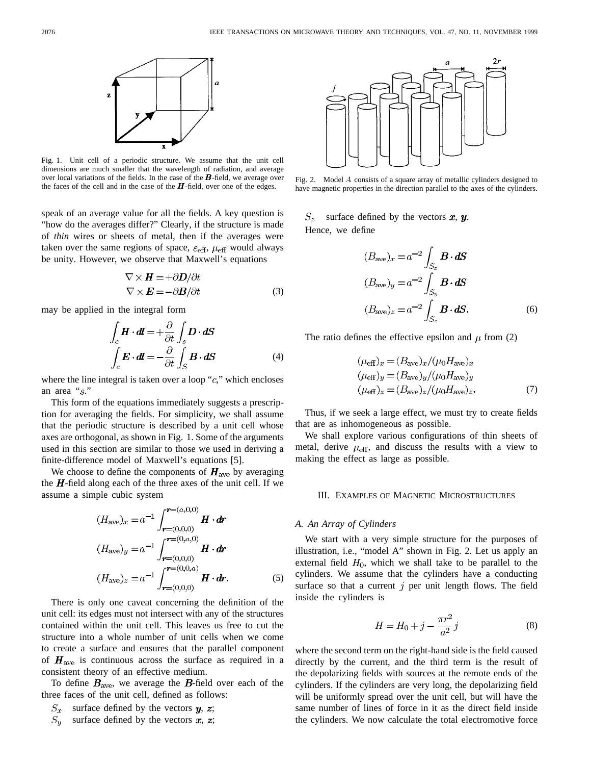

Fig. 1. Unit cell of a periodic structure. We assume that the unit cell dimensions are much smaller that the wavelength of radiation, and average over local variations of the fields. In the case of the  $B$ -field, we average over the faces of the cell and in the case of the  $H$ -field, over one of the edges.

speak of an average value for all the fields. A key question is "how do the averages differ?" Clearly, if the structure is made of *thin* wires or sheets of metal, then if the averages were taken over the same regions of space,  $\varepsilon_{\text{eff}}$ ,  $\mu_{\text{eff}}$  would always be unity. However, we observe that Maxwell's equations

$$
\nabla \times \mathbf{H} = +\partial \mathbf{D} / \partial t
$$
  
 
$$
\nabla \times \mathbf{E} = -\partial \mathbf{B} / \partial t
$$
 (3)

may be applied in the integral form

$$
\int_{c} \mathbf{H} \cdot d\mathbf{l} = + \frac{\partial}{\partial t} \int_{s} \mathbf{D} \cdot d\mathbf{S}
$$
\n
$$
\int_{c} \mathbf{E} \cdot d\mathbf{l} = - \frac{\partial}{\partial t} \int_{S} \mathbf{B} \cdot d\mathbf{S}
$$
\n(4)

where the line integral is taken over a loop " $c$ ," which encloses an area " $s$ ."

This form of the equations immediately suggests a prescription for averaging the fields. For simplicity, we shall assume that the periodic structure is described by a unit cell whose axes are orthogonal, as shown in Fig. 1. Some of the arguments used in this section are similar to those we used in deriving a finite-difference model of Maxwell's equations [5].

We choose to define the components of  $H_{\text{ave}}$  by averaging the  $H$ -field along each of the three axes of the unit cell. If we assume a simple cubic system

$$
(H_{\text{ave}})_x = a^{-1} \int_{\mathbf{r}=(0,0,0)}^{\mathbf{r}=(a,0,0)} \mathbf{H} \cdot d\mathbf{r}
$$
  

$$
(H_{\text{ave}})_y = a^{-1} \int_{\mathbf{r}=(0,0,0)}^{\mathbf{r}=(0,0,0)} \mathbf{H} \cdot d\mathbf{r}
$$
  

$$
(H_{\text{ave}})_z = a^{-1} \int_{\mathbf{r}=(0,0,0)}^{\mathbf{r}=(0,0,a)} \mathbf{H} \cdot d\mathbf{r}.
$$
 (5)

There is only one caveat concerning the definition of the unit cell: its edges must not intersect with any of the structures contained within the unit cell. This leaves us free to cut the structure into a whole number of unit cells when we come to create a surface and ensures that the parallel component of  $H_{\text{ave}}$  is continuous across the surface as required in a consistent theory of an effective medium.

To define  $B_{\text{ave}}$ , we average the  $B$ -field over each of the three faces of the unit cell, defined as follows:

- $S_{\bm{x}}$ surface defined by the vectors  $y$ ,  $z$ ;
- $S_{\bm{u}}$ surface defined by the vectors  $x$ ,  $z$ ;



Fig. 2. Model A consists of a square array of metallic cylinders designed to have magnetic properties in the direction parallel to the axes of the cylinders.

 $S_z$  surface defined by the vectors x, y. Hence, we define

$$
(B_{\text{ave}})_x = a^{-2} \int_{S_x} \mathbf{B} \cdot d\mathbf{S}
$$

$$
(B_{\text{ave}})_y = a^{-2} \int_{S_y} \mathbf{B} \cdot d\mathbf{S}
$$

$$
(B_{\text{ave}})_z = a^{-2} \int_{S_z} \mathbf{B} \cdot d\mathbf{S}.
$$
(6)

The ratio defines the effective epsilon and  $\mu$  from (2)

$$
(\mu_{\text{eff}})_x = (B_{\text{ave}})_x / (\mu_0 H_{\text{ave}})_x
$$
  
\n
$$
(\mu_{\text{eff}})_y = (B_{\text{ave}})_y / (\mu_0 H_{\text{ave}})_y
$$
  
\n
$$
(\mu_{\text{eff}})_z = (B_{\text{ave}})_z / (\mu_0 H_{\text{ave}})_z.
$$
 (7)

Thus, if we seek a large effect, we must try to create fields that are as inhomogeneous as possible.

We shall explore various configurations of thin sheets of metal, derive  $\mu_{\text{eff}}$ , and discuss the results with a view to making the effect as large as possible.

# III. EXAMPLES OF MAGNETIC MICROSTRUCTURES

# *A. An Array of Cylinders*

We start with a very simple structure for the purposes of illustration, i.e., "model A" shown in Fig. 2. Let us apply an external field  $H_0$ , which we shall take to be parallel to the cylinders. We assume that the cylinders have a conducting surface so that a current  $j$  per unit length flows. The field inside the cylinders is

$$
H = H_0 + j - \frac{\pi r^2}{a^2}j
$$
 (8)

where the second term on the right-hand side is the field caused directly by the current, and the third term is the result of the depolarizing fields with sources at the remote ends of the cylinders. If the cylinders are very long, the depolarizing field will be uniformly spread over the unit cell, but will have the same number of lines of force in it as the direct field inside the cylinders. We now calculate the total electromotive force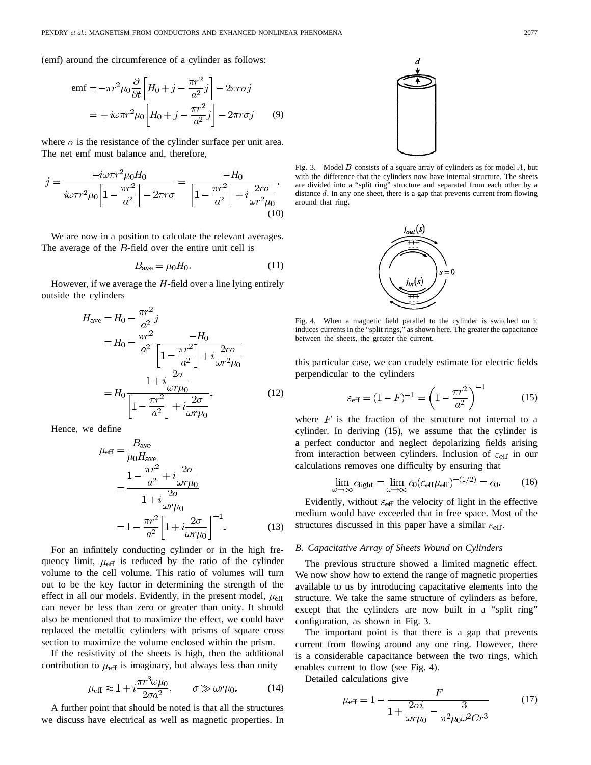(emf) around the circumference of a cylinder as follows:

$$
\text{emf} = -\pi r^2 \mu_0 \frac{\partial}{\partial t} \left[ H_0 + j - \frac{\pi r^2}{a^2} j \right] - 2\pi r \sigma j
$$
\n
$$
= + i\omega \pi r^2 \mu_0 \left[ H_0 + j - \frac{\pi r^2}{a^2} j \right] - 2\pi r \sigma j \tag{9}
$$

where  $\sigma$  is the resistance of the cylinder surface per unit area. The net emf must balance and, therefore,

$$
j = \frac{-i\omega\pi r^2 \mu_0 H_0}{i\omega\tau r^2 \mu_0 \left[1 - \frac{\pi r^2}{a^2}\right] - 2\pi r\sigma} = \frac{-H_0}{\left[1 - \frac{\pi r^2}{a^2}\right] + i\frac{2r\sigma}{\omega r^2 \mu_0}}.
$$
\n(10)

We are now in a position to calculate the relevant averages. The average of the  $B$ -field over the entire unit cell is

$$
B_{\text{ave}} = \mu_0 H_0. \tag{11}
$$

However, if we average the  $H$ -field over a line lying entirely outside the cylinders

$$
H_{\text{ave}} = H_0 - \frac{\pi r^2}{a^2} j
$$
  
=  $H_0 - \frac{\pi r^2}{a^2} \frac{-H_0}{\left[1 - \frac{\pi r^2}{a^2}\right] + i \frac{2r\sigma}{\omega r^2 \mu_0}}$   
=  $H_0 \frac{1 + i \frac{2\sigma}{\omega r \mu_0}}{\left[1 - \frac{\pi r^2}{a^2}\right] + i \frac{2\sigma}{\omega r \mu_0}}$ . (12)

Hence, we define

$$
\mu_{\text{eff}} = \frac{B_{\text{ave}}}{\mu_0 H_{\text{ave}}}
$$
  
= 
$$
\frac{1 - \frac{\pi r^2}{a^2} + i \frac{2\sigma}{\omega r \mu_0}}{1 + i \frac{2\sigma}{\omega r \mu_0}}
$$
  
= 
$$
1 - \frac{\pi r^2}{a^2} \left[ 1 + i \frac{2\sigma}{\omega r \mu_0} \right]^{-1}.
$$
 (13)

For an infinitely conducting cylinder or in the high frequency limit,  $\mu_{\text{eff}}$  is reduced by the ratio of the cylinder volume to the cell volume. This ratio of volumes will turn out to be the key factor in determining the strength of the effect in all our models. Evidently, in the present model,  $\mu_{\text{eff}}$ can never be less than zero or greater than unity. It should also be mentioned that to maximize the effect, we could have replaced the metallic cylinders with prisms of square cross section to maximize the volume enclosed within the prism.

If the resistivity of the sheets is high, then the additional contribution to  $\mu_{\text{eff}}$  is imaginary, but always less than unity

$$
\mu_{\text{eff}} \approx 1 + i \frac{\pi r^3 \omega \mu_0}{2\sigma a^2}, \qquad \sigma \gg \omega r \mu_0. \tag{14}
$$

A further point that should be noted is that all the structures we discuss have electrical as well as magnetic properties. In



Fig. 3. Model  $B$  consists of a square array of cylinders as for model  $A$ , but with the difference that the cylinders now have internal structure. The sheets are divided into a "split ring" structure and separated from each other by a distance d. In any one sheet, there is a gap that prevents current from flowing around that ring.



Fig. 4. When a magnetic field parallel to the cylinder is switched on it induces currents in the "split rings," as shown here. The greater the capacitance between the sheets, the greater the current.

this particular case, we can crudely estimate for electric fields perpendicular to the cylinders

$$
\varepsilon_{\text{eff}} = (1 - F)^{-1} = \left(1 - \frac{\pi r^2}{a^2}\right)^{-1} \tag{15}
$$

where  $F$  is the fraction of the structure not internal to a cylinder. In deriving (15), we assume that the cylinder is a perfect conductor and neglect depolarizing fields arising from interaction between cylinders. Inclusion of  $\varepsilon_{\text{eff}}$  in our calculations removes one difficulty by ensuring that

$$
\lim_{\omega \to \infty} c_{\text{light}} = \lim_{\omega \to \infty} c_0 (\varepsilon_{\text{eff}} \mu_{\text{eff}})^{-(1/2)} = c_0. \tag{16}
$$

Evidently, without  $\varepsilon_{\text{eff}}$  the velocity of light in the effective medium would have exceeded that in free space. Most of the structures discussed in this paper have a similar  $\varepsilon_{\text{eff}}$ .

#### *B. Capacitative Array of Sheets Wound on Cylinders*

The previous structure showed a limited magnetic effect. We now show how to extend the range of magnetic properties available to us by introducing capacitative elements into the structure. We take the same structure of cylinders as before, except that the cylinders are now built in a "split ring" configuration, as shown in Fig. 3.

The important point is that there is a gap that prevents current from flowing around any one ring. However, there is a considerable capacitance between the two rings, which enables current to flow (see Fig. 4).

Detailed calculations give

$$
\mu_{\text{eff}} = 1 - \frac{F}{1 + \frac{2\sigma i}{\omega r \mu_0} - \frac{3}{\pi^2 \mu_0 \omega^2 C r^3}}
$$
(17)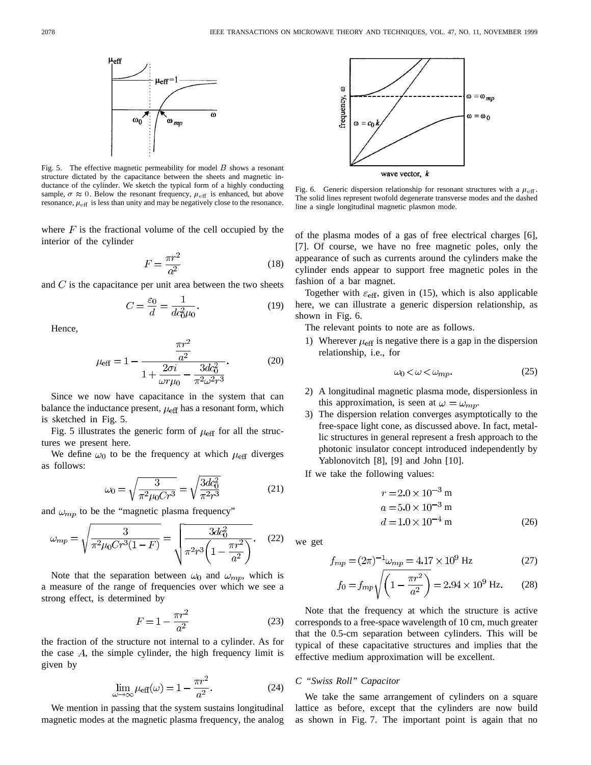

Fig. 5. The effective magnetic permeability for model  $B$  shows a resonant structure dictated by the capacitance between the sheets and magnetic inductance of the cylinder. We sketch the typical form of a highly conducting sample,  $\sigma \approx 0$ . Below the resonant frequency,  $\mu_{\text{eff}}$  is enhanced, but above resonance,  $\mu_{\text{eff}}$  is less than unity and may be negatively close to the resonance.

where  $F$  is the fractional volume of the cell occupied by the interior of the cylinder

$$
F = \frac{\pi r^2}{a^2} \tag{18}
$$

and  $C$  is the capacitance per unit area between the two sheets

$$
C = \frac{\varepsilon_0}{d} = \frac{1}{dc_0^2 \mu_0}.\tag{19}
$$

Hence,

$$
\mu_{\text{eff}} = 1 - \frac{\frac{\pi r^2}{a^2}}{1 + \frac{2\sigma i}{\omega r \mu_0} - \frac{3dc_0^2}{\pi^2 \omega^2 r^3}}.
$$
 (20)

ö

Since we now have capacitance in the system that can balance the inductance present,  $\mu_{\text{eff}}$  has a resonant form, which is sketched in Fig. 5.

Fig. 5 illustrates the generic form of  $\mu_{\text{eff}}$  for all the structures we present here.

We define  $\omega_0$  to be the frequency at which  $\mu_{\text{eff}}$  diverges as follows:

$$
\omega_0 = \sqrt{\frac{3}{\pi^2 \mu_0 C r^3}} = \sqrt{\frac{3dc_0^2}{\pi^2 r^3}}
$$
(21)

and  $\omega_{mp}$  to be the "magnetic plasma frequency"

$$
\omega_{mp} = \sqrt{\frac{3}{\pi^2 \mu_0 C r^3 (1 - F)}} = \sqrt{\frac{3dc_0^2}{\pi^2 r^3 \left(1 - \frac{\pi r^2}{a^2}\right)}}.
$$
 (22)

Note that the separation between  $\omega_0$  and  $\omega_{mp}$ , which is a measure of the range of frequencies over which we see a strong effect, is determined by

$$
F = 1 - \frac{\pi r^2}{a^2} \tag{23}
$$

the fraction of the structure not internal to a cylinder. As for the case  $A$ , the simple cylinder, the high frequency limit is given by

$$
\lim_{\omega \to \infty} \mu_{\text{eff}}(\omega) = 1 - \frac{\pi r^2}{a^2}.
$$
 (24)

We mention in passing that the system sustains longitudinal magnetic modes at the magnetic plasma frequency, the analog



Fig. 6. Generic dispersion relationship for resonant structures with a  $\mu_{\text{eff}}$ . The solid lines represent twofold degenerate transverse modes and the dashed line a single longitudinal magnetic plasmon mode.

of the plasma modes of a gas of free electrical charges [6], [7]. Of course, we have no free magnetic poles, only the appearance of such as currents around the cylinders make the cylinder ends appear to support free magnetic poles in the fashion of a bar magnet.

Together with  $\varepsilon_{\text{eff}}$ , given in (15), which is also applicable here, we can illustrate a generic dispersion relationship, as shown in Fig. 6.

The relevant points to note are as follows.

1) Wherever  $\mu_{\text{eff}}$  is negative there is a gap in the dispersion relationship, i.e., for

$$
\omega_0 < \omega < \omega_{mp}.\tag{25}
$$

- 2) A longitudinal magnetic plasma mode, dispersionless in this approximation, is seen at  $\omega = \omega_{mp}$ .
- 3) The dispersion relation converges asymptotically to the free-space light cone, as discussed above. In fact, metallic structures in general represent a fresh approach to the photonic insulator concept introduced independently by Yablonovitch [8], [9] and John [10].

If we take the following values:

$$
r = 2.0 \times 10^{-3} \text{ m}
$$
  
\n
$$
a = 5.0 \times 10^{-3} \text{ m}
$$
  
\n
$$
d = 1.0 \times 10^{-4} \text{ m}
$$
 (26)

we get

$$
f_{mp} = (2\pi)^{-1} \omega_{mp} = 4.17 \times 10^9 \text{ Hz}
$$
 (27)

$$
f_0 = f_{mp} \sqrt{\left(1 - \frac{\pi r^2}{a^2}\right)} = 2.94 \times 10^9 \text{ Hz.}
$$
 (28)

Note that the frequency at which the structure is active corresponds to a free-space wavelength of 10 cm, much greater that the 0.5-cm separation between cylinders. This will be typical of these capacitative structures and implies that the effective medium approximation will be excellent.

## *C "Swiss Roll" Capacitor*

We take the same arrangement of cylinders on a square lattice as before, except that the cylinders are now build as shown in Fig. 7. The important point is again that no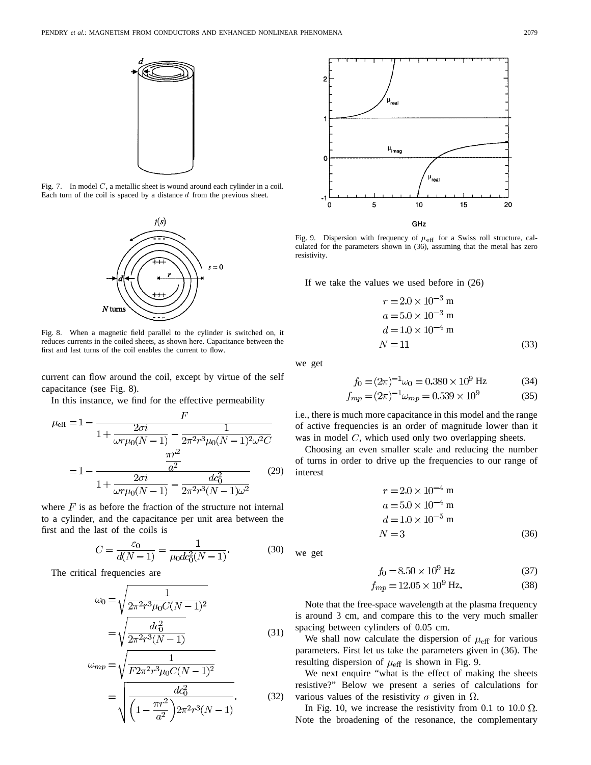

Fig. 7. In model  $C$ , a metallic sheet is wound around each cylinder in a coil. Each turn of the coil is spaced by a distance  $d$  from the previous sheet.



Fig. 8. When a magnetic field parallel to the cylinder is switched on, it reduces currents in the coiled sheets, as shown here. Capacitance between the first and last turns of the coil enables the current to flow.

current can flow around the coil, except by virtue of the self capacitance (see Fig. 8).

In this instance, we find for the effective permeability

$$
\mu_{\text{eff}} = 1 - \frac{F}{1 + \frac{2\sigma i}{\omega r \mu_0 (N - 1)} - \frac{1}{2\pi^2 r^3 \mu_0 (N - 1)^2 \omega^2 C}}
$$

$$
= 1 - \frac{\frac{\pi r^2}{a^2}}{1 + \frac{2\sigma i}{\omega r \mu_0 (N - 1)} - \frac{dc_0^2}{2\pi^2 r^3 (N - 1)\omega^2}}
$$
(29)

where  $F$  is as before the fraction of the structure not internal to a cylinder, and the capacitance per unit area between the first and the last of the coils is

$$
C = \frac{\varepsilon_0}{d(N-1)} = \frac{1}{\mu_0 d c_0^2 (N-1)}.
$$
 (30)

The critical frequencies are

$$
\omega_0 = \sqrt{\frac{1}{2\pi^2 r^3 \mu_0 C (N-1)^2}}
$$

$$
= \sqrt{\frac{dc_0^2}{2\pi^2 r^3 (N-1)}}
$$
(31)

$$
\omega_{mp} = \sqrt{\frac{1}{F2\pi^2 r^3 \mu_0 C (N-1)^2}}
$$

$$
= \sqrt{\frac{dc_0^2}{\left(1 - \frac{\pi r^2}{a^2}\right) 2\pi^2 r^3 (N-1)}}.
$$
(32)



Fig. 9. Dispersion with frequency of  $\mu_{\text{eff}}$  for a Swiss roll structure, calculated for the parameters shown in (36), assuming that the metal has zero resistivity.

If we take the values we used before in (26)

$$
r = 2.0 \times 10^{-3} \text{ m}
$$
  
\n
$$
a = 5.0 \times 10^{-3} \text{ m}
$$
  
\n
$$
d = 1.0 \times 10^{-4} \text{ m}
$$
  
\n
$$
N = 11
$$
 (33)

we get

$$
f_0 = (2\pi)^{-1}\omega_0 = 0.380 \times 10^9 \text{ Hz}
$$
 (34)

$$
f_{mp} = (2\pi)^{-1} \omega_{mp} = 0.539 \times 10^9 \tag{35}
$$

i.e., there is much more capacitance in this model and the range of active frequencies is an order of magnitude lower than it was in model  $C$ , which used only two overlapping sheets.

Choosing an even smaller scale and reducing the number of turns in order to drive up the frequencies to our range of interest

$$
r = 2.0 \times 10^{-4} \text{ m}
$$
  
\n
$$
a = 5.0 \times 10^{-4} \text{ m}
$$
  
\n
$$
d = 1.0 \times 10^{-5} \text{ m}
$$
  
\n
$$
N = 3
$$
 (36)

we get

$$
f_0 = 8.50 \times 10^9 \text{ Hz}
$$
 (37)

$$
f_{mp} = 12.05 \times 10^9 \text{ Hz.}
$$
 (38)

Note that the free-space wavelength at the plasma frequency is around 3 cm, and compare this to the very much smaller spacing between cylinders of 0.05 cm.

We shall now calculate the dispersion of  $\mu_{\text{eff}}$  for various parameters. First let us take the parameters given in (36). The resulting dispersion of  $\mu_{\text{eff}}$  is shown in Fig. 9.

We next enquire "what is the effect of making the sheets resistive?" Below we present a series of calculations for various values of the resistivity  $\sigma$  given in  $\Omega$ .

In Fig. 10, we increase the resistivity from 0.1 to 10.0  $\Omega$ . Note the broadening of the resonance, the complementary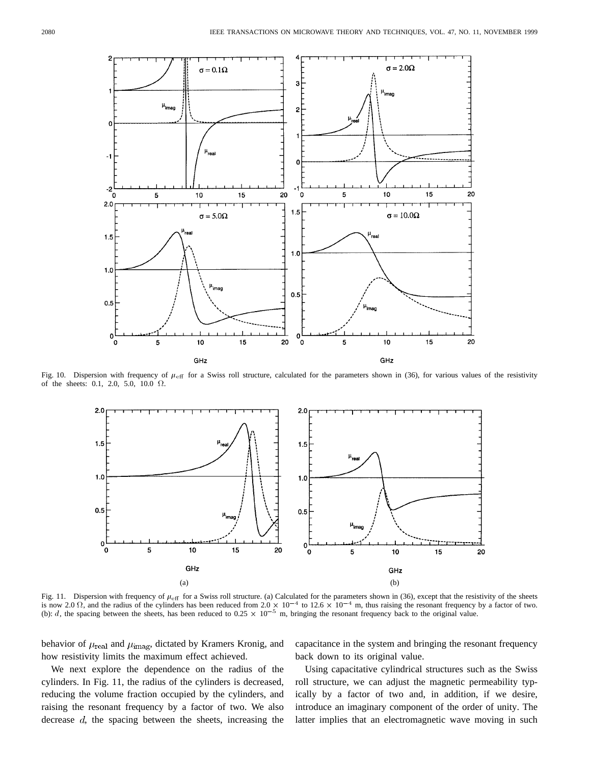

Fig. 10. Dispersion with frequency of  $\mu_{\text{eff}}$  for a Swiss roll structure, calculated for the parameters shown in (36), for various values of the resistivity of the sheets: 0.1, 2.0, 5.0, 10.0  $\Omega$ .



Fig. 11. Dispersion with frequency of  $\mu_{\text{eff}}$  for a Swiss roll structure. (a) Calculated for the parameters shown in (36), except that the resistivity of the sheets (a)<br>
Fig. 11. Dispersion with frequency of  $\mu_{\text{eff}}$  for a Swiss roll structure. (a) Calculated for the parameters shown in (36), except that the resistivity of the sheets<br>
is now 2.0  $\Omega$ , and the radius of the cylinder (b): d, the spacing between the sheets, has been reduced to  $0.25 \times 10^{-5}$  m, bringing the resonant frequency back to the original value. the ure. (a) Calculated for the parameters shown in (36), except that the resisted in 2.0  $\times$  10<sup>-4</sup> to 12.6  $\times$  10<sup>-4</sup> m, thus raising the resonant frequency  $\times$  10<sup>-5</sup> m, bringing the resonant frequency back to the o

behavior of  $\mu_{\text{real}}$  and  $\mu_{\text{imag}}$ , dictated by Kramers Kronig, and how resistivity limits the maximum effect achieved.

capacitance in the system and bringing the resonant frequency back down to its original value.

We next explore the dependence on the radius of the cylinders. In Fig. 11, the radius of the cylinders is decreased, reducing the volume fraction occupied by the cylinders, and raising the resonant frequency by a factor of two. We also decrease  $d$ , the spacing between the sheets, increasing the

Using capacitative cylindrical structures such as the Swiss roll structure, we can adjust the magnetic permeability typically by a factor of two and, in addition, if we desire, introduce an imaginary component of the order of unity. The latter implies that an electromagnetic wave moving in such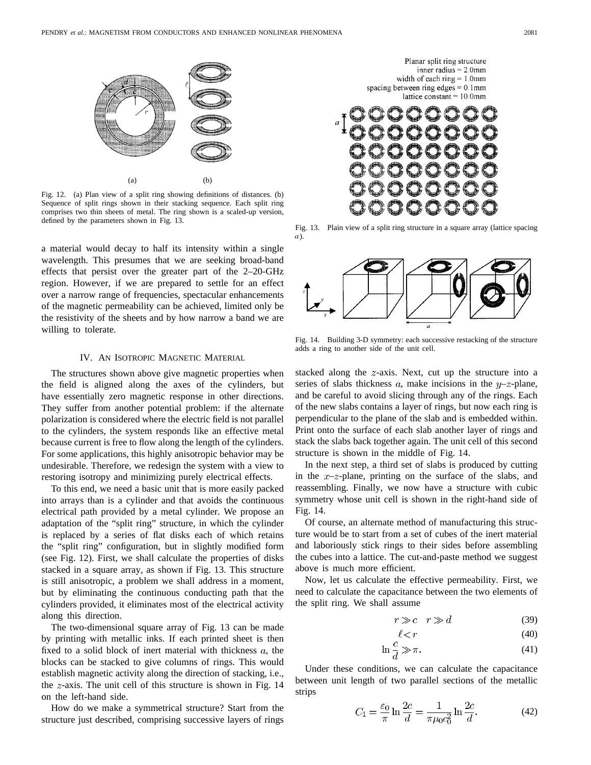

Fig. 12. (a) Plan view of a split ring showing definitions of distances. (b) Sequence of split rings shown in their stacking sequence. Each split ring comprises two thin sheets of metal. The ring shown is a scaled-up version, defined by the parameters shown in Fig. 13.

a material would decay to half its intensity within a single wavelength. This presumes that we are seeking broad-band effects that persist over the greater part of the 2–20-GHz region. However, if we are prepared to settle for an effect over a narrow range of frequencies, spectacular enhancements of the magnetic permeability can be achieved, limited only be the resistivity of the sheets and by how narrow a band we are willing to tolerate.

#### IV. AN ISOTROPIC MAGNETIC MATERIAL

The structures shown above give magnetic properties when the field is aligned along the axes of the cylinders, but have essentially zero magnetic response in other directions. They suffer from another potential problem: if the alternate polarization is considered where the electric field is not parallel to the cylinders, the system responds like an effective metal because current is free to flow along the length of the cylinders. For some applications, this highly anisotropic behavior may be undesirable. Therefore, we redesign the system with a view to restoring isotropy and minimizing purely electrical effects.

To this end, we need a basic unit that is more easily packed into arrays than is a cylinder and that avoids the continuous electrical path provided by a metal cylinder. We propose an adaptation of the "split ring" structure, in which the cylinder is replaced by a series of flat disks each of which retains the "split ring" configuration, but in slightly modified form (see Fig. 12). First, we shall calculate the properties of disks stacked in a square array, as shown if Fig. 13. This structure is still anisotropic, a problem we shall address in a moment, but by eliminating the continuous conducting path that the cylinders provided, it eliminates most of the electrical activity along this direction.

The two-dimensional square array of Fig. 13 can be made by printing with metallic inks. If each printed sheet is then fixed to a solid block of inert material with thickness  $a$ , the blocks can be stacked to give columns of rings. This would establish magnetic activity along the direction of stacking, i.e., the  $z$ -axis. The unit cell of this structure is shown in Fig. 14 on the left-hand side.

How do we make a symmetrical structure? Start from the structure just described, comprising successive layers of rings

Planar split ring structure inner radius  $= 2.0$ mm width of each ring  $= 1.0$ mm spacing between ring edges  $= 0.1$ mm



Fig. 13. Plain view of a split ring structure in a square array (lattice spacing a).



Fig. 14. Building 3-D symmetry: each successive restacking of the structure adds a ring to another side of the unit cell.

stacked along the  $z$ -axis. Next, cut up the structure into a series of slabs thickness  $a$ , make incisions in the  $y-z$ -plane, and be careful to avoid slicing through any of the rings. Each of the new slabs contains a layer of rings, but now each ring is perpendicular to the plane of the slab and is embedded within. Print onto the surface of each slab another layer of rings and stack the slabs back together again. The unit cell of this second structure is shown in the middle of Fig. 14.

In the next step, a third set of slabs is produced by cutting in the  $x-z$ -plane, printing on the surface of the slabs, and reassembling. Finally, we now have a structure with cubic symmetry whose unit cell is shown in the right-hand side of Fig. 14.

Of course, an alternate method of manufacturing this structure would be to start from a set of cubes of the inert material and laboriously stick rings to their sides before assembling the cubes into a lattice. The cut-and-paste method we suggest above is much more efficient.

Now, let us calculate the effective permeability. First, we need to calculate the capacitance between the two elements of the split ring. We shall assume

$$
r \gg c \quad r \gg d \tag{39}
$$

$$
\ell < r \tag{40}
$$

$$
\ln \frac{c}{d} \gg \pi. \tag{41}
$$

Under these conditions, we can calculate the capacitance between unit length of two parallel sections of the metallic strips

$$
C_1 = \frac{\varepsilon_0}{\pi} \ln \frac{2c}{d} = \frac{1}{\pi \mu_0 c_0^2} \ln \frac{2c}{d}.
$$
 (42)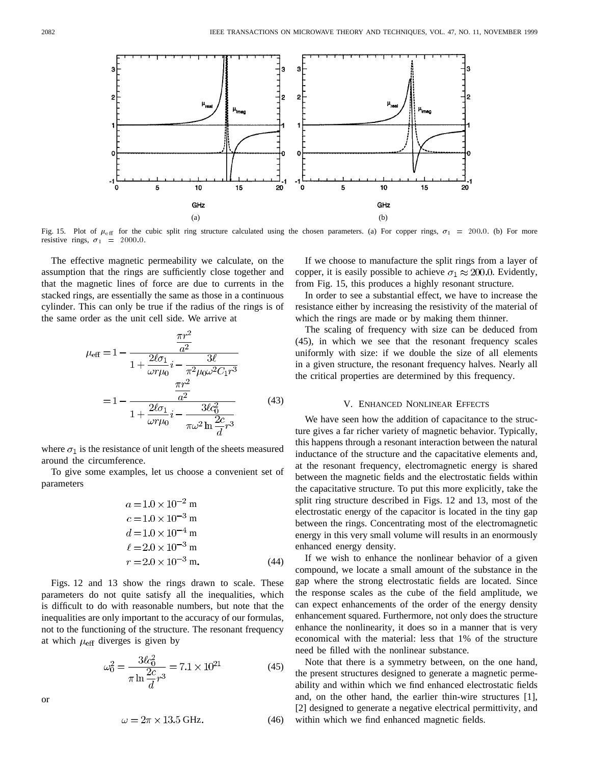

Fig. 15. Plot of  $\mu_{\text{eff}}$  for the cubic split ring structure calculated using the chosen parameters. (a) For copper rings,  $\sigma_1 = 200.0$ . (b) For more resistive rings,  $\sigma_1 = 2000.0$ .

The effective magnetic permeability we calculate, on the assumption that the rings are sufficiently close together and that the magnetic lines of force are due to currents in the stacked rings, are essentially the same as those in a continuous cylinder. This can only be true if the radius of the rings is of the same order as the unit cell side. We arrive at

$$
u_{\text{eff}} = 1 - \frac{\frac{\pi r^2}{a^2}}{1 + \frac{2\ell\sigma_1}{\omega r\mu_0} i - \frac{3\ell}{\pi^2 \mu_0 \omega^2 C_1 r^3}}
$$
  
= 
$$
1 - \frac{\frac{\pi r^2}{\omega r^2}}{1 + \frac{2\ell\sigma_1}{\omega r\mu_0} i - \frac{3\ell c_0^2}{\pi \omega^2 \ln \frac{2c}{d} r^3}}
$$
(43)

where  $\sigma_1$  is the resistance of unit length of the sheets measured around the circumference.

To give some examples, let us choose a convenient set of parameters

$$
a = 1.0 \times 10^{-2} \text{ m}
$$
  
\n
$$
c = 1.0 \times 10^{-3} \text{ m}
$$
  
\n
$$
d = 1.0 \times 10^{-4} \text{ m}
$$
  
\n
$$
\ell = 2.0 \times 10^{-3} \text{ m}
$$
  
\n
$$
r = 2.0 \times 10^{-3} \text{ m}.
$$
 (44)

Figs. 12 and 13 show the rings drawn to scale. These parameters do not quite satisfy all the inequalities, which is difficult to do with reasonable numbers, but note that the inequalities are only important to the accuracy of our formulas, not to the functioning of the structure. The resonant frequency at which  $\mu_{\text{eff}}$  diverges is given by

$$
\omega_0^2 = \frac{3\ell c_0^2}{\pi \ln \frac{2c}{d} r^3} = 7.1 \times 10^{21}
$$
 (45)

or

$$
\omega = 2\pi \times 13.5 \text{ GHz.} \tag{46}
$$

If we choose to manufacture the split rings from a layer of copper, it is easily possible to achieve  $\sigma_1 \approx 200.0$ . Evidently, from Fig. 15, this produces a highly resonant structure.

In order to see a substantial effect, we have to increase the resistance either by increasing the resistivity of the material of which the rings are made or by making them thinner.

The scaling of frequency with size can be deduced from (45), in which we see that the resonant frequency scales uniformly with size: if we double the size of all elements in a given structure, the resonant frequency halves. Nearly all the critical properties are determined by this frequency.

## V. ENHANCED NONLINEAR EFFECTS

We have seen how the addition of capacitance to the structure gives a far richer variety of magnetic behavior. Typically, this happens through a resonant interaction between the natural inductance of the structure and the capacitative elements and, at the resonant frequency, electromagnetic energy is shared between the magnetic fields and the electrostatic fields within the capacitative structure. To put this more explicitly, take the split ring structure described in Figs. 12 and 13, most of the electrostatic energy of the capacitor is located in the tiny gap between the rings. Concentrating most of the electromagnetic energy in this very small volume will results in an enormously enhanced energy density.

If we wish to enhance the nonlinear behavior of a given compound, we locate a small amount of the substance in the gap where the strong electrostatic fields are located. Since the response scales as the cube of the field amplitude, we can expect enhancements of the order of the energy density enhancement squared. Furthermore, not only does the structure enhance the nonlinearity, it does so in a manner that is very economical with the material: less that 1% of the structure need be filled with the nonlinear substance.

Note that there is a symmetry between, on the one hand, the present structures designed to generate a magnetic permeability and within which we find enhanced electrostatic fields and, on the other hand, the earlier thin-wire structures [1], [2] designed to generate a negative electrical permittivity, and within which we find enhanced magnetic fields.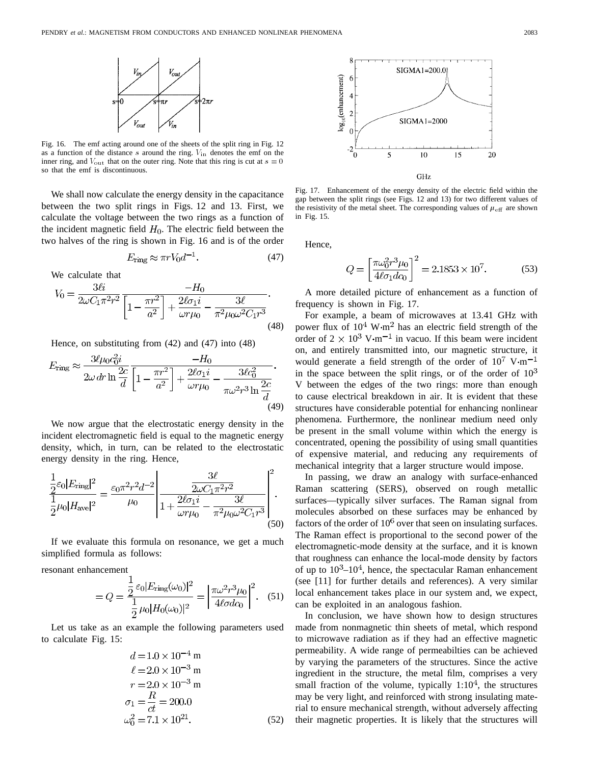

Fig. 16. The emf acting around one of the sheets of the split ring in Fig. 12 as a function of the distance s around the ring.  $V_{in}$  denotes the emf on the inner ring, and  $V_{\text{out}}$  that on the outer ring. Note that this ring is cut at  $s = 0$ so that the emf is discontinuous.

We shall now calculate the energy density in the capacitance between the two split rings in Figs. 12 and 13. First, we calculate the voltage between the two rings as a function of the incident magnetic field  $H_0$ . The electric field between the two halves of the ring is shown in Fig. 16 and is of the order

$$
E_{\rm ring} \approx \pi r V_0 d^{-1}.\tag{47}
$$

We calculate that

$$
V_0 = \frac{3\ell i}{2\omega C_1 \pi^2 r^2} \frac{-H_0}{\left[1 - \frac{\pi r^2}{a^2}\right] + \frac{2\ell \sigma_1 i}{\omega r \mu_0} - \frac{3\ell}{\pi^2 \mu_0 \omega^2 C_1 r^3}}.
$$
\n(48)

Hence, on substituting from (42) and (47) into (48)

$$
E_{\text{ring}} \approx \frac{3\ell\mu_0 c_0^2 i}{2\omega dr \ln\frac{2c}{d}} \frac{-H_0}{\left[1 - \frac{\pi r^2}{a^2}\right] + \frac{2\ell\sigma_1 i}{\omega r \mu_0} - \frac{3\ell c_0^2}{\pi \omega^2 r^3 \ln\frac{2c}{d}}.
$$
\n(49)

We now argue that the electrostatic energy density in the incident electromagnetic field is equal to the magnetic energy density, which, in turn, can be related to the electrostatic energy density in the ring. Hence,

$$
\frac{\frac{1}{2}\varepsilon_0 |E_{\text{ring}}|^2}{\frac{1}{2}\mu_0 |H_{\text{ave}}|^2} = \frac{\varepsilon_0 \pi^2 r^2 d^{-2}}{\mu_0} \left| \frac{\frac{3\ell}{2\omega C_1 \pi^2 r^2}}{1 + \frac{2\ell \sigma_1 i}{\omega r \mu_0} - \frac{3\ell}{\pi^2 \mu_0 \omega^2 C_1 r^3}} \right|^2. \tag{50}
$$

If we evaluate this formula on resonance, we get a much simplified formula as follows:

resonant enhancement

$$
= Q = \frac{\frac{1}{2} \varepsilon_0 |E_{\text{ring}}(\omega_0)|^2}{\frac{1}{2} \mu_0 |H_0(\omega_0)|^2} = \left| \frac{\pi \omega^2 r^3 \mu_0}{4 \ell \sigma d c_0} \right|^2. \quad (51)
$$

Let us take as an example the following parameters used to calculate Fig. 15:

$$
d = 1.0 \times 10^{-4} \text{ m}
$$
  
\n
$$
\ell = 2.0 \times 10^{-3} \text{ m}
$$
  
\n
$$
r = 2.0 \times 10^{-3} \text{ m}
$$
  
\n
$$
\sigma_1 = \frac{R}{ct} = 200.0
$$
  
\n
$$
\omega_0^2 = 7.1 \times 10^{21}.
$$
 (52)



Fig. 17. Enhancement of the energy density of the electric field within the gap between the split rings (see Figs. 12 and 13) for two different values of the resistivity of the metal sheet. The corresponding values of  $\mu_{\text{eff}}$  are shown in Fig. 15.

Hence,

$$
Q = \left[\frac{\pi\omega_0^2 r^3 \mu_0}{4\ell \sigma_1 d c_0}\right]^2 = 2.1853 \times 10^7. \tag{53}
$$

A more detailed picture of enhancement as a function of frequency is shown in Fig. 17.

For example, a beam of microwaves at 13.41 GHz with power flux of  $10^4$  W·m<sup>2</sup> has an electric field strength of the order of  $2 \times 10^3$  V $\cdot$ m<sup>-1</sup> in vacuo. If this beam were incident on, and entirely transmitted into, our magnetic structure, it would generate a field strength of the order of  $10^7$  V·m<sup>-1</sup> in the space between the split rings, or of the order of  $10<sup>3</sup>$ V between the edges of the two rings: more than enough to cause electrical breakdown in air. It is evident that these structures have considerable potential for enhancing nonlinear phenomena. Furthermore, the nonlinear medium need only be present in the small volume within which the energy is concentrated, opening the possibility of using small quantities of expensive material, and reducing any requirements of mechanical integrity that a larger structure would impose.

In passing, we draw an analogy with surface-enhanced Raman scattering (SERS), observed on rough metallic surfaces—typically silver surfaces. The Raman signal from molecules absorbed on these surfaces may be enhanced by factors of the order of  $10^6$  over that seen on insulating surfaces. The Raman effect is proportional to the second power of the electromagnetic-mode density at the surface, and it is known that roughness can enhance the local-mode density by factors of up to  $10^3 - 10^4$ , hence, the spectacular Raman enhancement (see [11] for further details and references). A very similar local enhancement takes place in our system and, we expect, can be exploited in an analogous fashion.

In conclusion, we have shown how to design structures made from nonmagnetic thin sheets of metal, which respond to microwave radiation as if they had an effective magnetic permeability. A wide range of permeabilties can be achieved by varying the parameters of the structures. Since the active ingredient in the structure, the metal film, comprises a very small fraction of the volume, typically  $1:10<sup>4</sup>$ , the structures may be very light, and reinforced with strong insulating material to ensure mechanical strength, without adversely affecting their magnetic properties. It is likely that the structures will